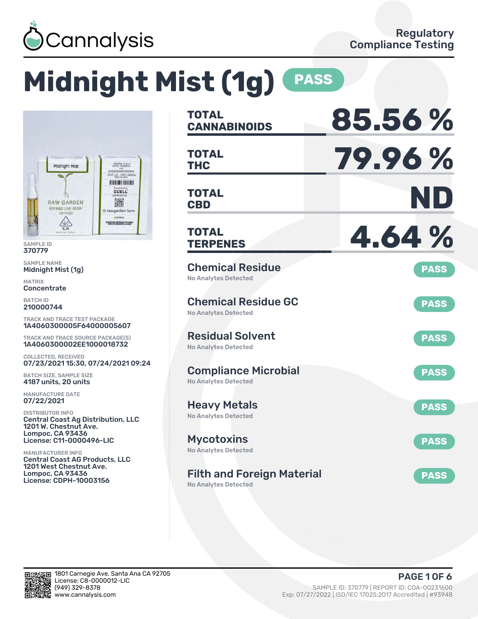

# **Midnight Mist (1g) PASS**



SAMPLE ID 370779

SAMPLE NAME Midnight Mist (1g)

MATRIX **Concentrate** 

BATCH ID 210000744

TRACK AND TRACE TEST PACKAGE 1A4060300005F64000005607

TRACK AND TRACE SOURCE PACKAGE(S) 1A4060300002EE1000018732

COLLECTED, RECEIVED 07/23/2021 15:30, 07/24/2021 09:24

BATCH SIZE, SAMPLE SIZE 4187 units, 20 units

MANUFACTURE DATE 07/22/2021

DISTRIBUTOR INFO Central Coast Ag Distribution, LLC 1201 W. Chestnut Ave. Lompoc, CA 93436 License: C11-0000496-LIC

MANUFACTURER INFO Central Coast AG Products, LLC 1201 West Chestnut Ave. Lompoc, CA 93436 License: CDPH-10003156

| <b>TOTAL</b><br><b>CANNABINOIDS</b>                              | 85.56%      |
|------------------------------------------------------------------|-------------|
| TOTAL<br><b>THC</b>                                              | 79.96%      |
| <b>TOTAL</b><br><b>CBD</b>                                       | ND          |
| TOTAL<br><b>TERPENES</b>                                         | 4.64%       |
| <b>Chemical Residue</b><br><b>No Analytes Detected</b>           | <b>PASS</b> |
| <b>Chemical Residue GC</b><br><b>No Analytes Detected</b>        | <b>PASS</b> |
| <b>Residual Solvent</b><br>No Analytes Detected                  | <b>PASS</b> |
| <b>Compliance Microbial</b><br><b>No Analytes Detected</b>       | <b>PASS</b> |
| <b>Heavy Metals</b><br><b>No Analytes Detected</b>               | <b>PASS</b> |
| <b>Mycotoxins</b><br>No Analytes Detected                        | <b>PASS</b> |
| <b>Filth and Foreign Material</b><br><b>No Analytes Detected</b> | <b>PASS</b> |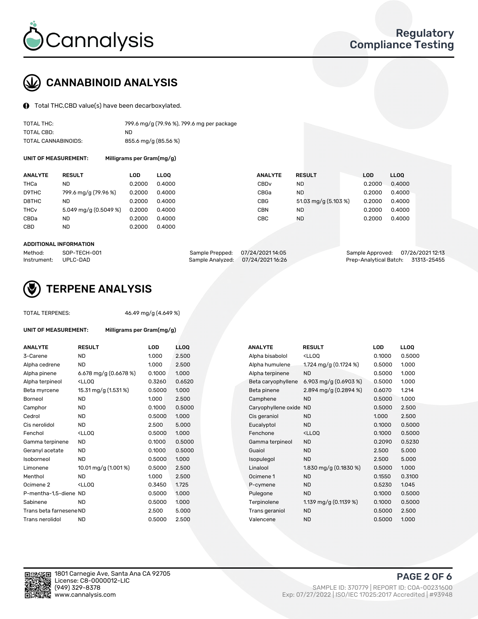

## CANNABINOID ANALYSIS

Total THC,CBD value(s) have been decarboxylated.

| TOTAL THC:          | 799.6 mg/g (79.96 %), 799.6 mg per package |
|---------------------|--------------------------------------------|
| TOTAL CBD:          | ND.                                        |
| TOTAL CANNABINOIDS: | 855.6 mg/g (85.56 %)                       |

UNIT OF MEASUREMENT: Milligrams per Gram(mg/g)

| <b>ANALYTE</b>         | <b>RESULT</b>           | LOD    | <b>LLOO</b> | <b>ANALYTE</b>   | <b>RESULT</b>        | <b>LOD</b> | <b>LLOO</b> |
|------------------------|-------------------------|--------|-------------|------------------|----------------------|------------|-------------|
| THCa                   | ND.                     | 0.2000 | 0.4000      | CBD <sub>v</sub> | ND                   | 0.2000     | 0.4000      |
| D9THC                  | 799.6 mg/g (79.96 %)    | 0.2000 | 0.4000      | CBGa             | <b>ND</b>            | 0.2000     | 0.4000      |
| D8THC                  | ND.                     | 0.2000 | 0.4000      | CBG              | 51.03 mg/g (5.103 %) | 0.2000     | 0.4000      |
| <b>THC<sub>v</sub></b> | 5.049 mg/g $(0.5049\%)$ | 0.2000 | 0.4000      | CBN              | ND                   | 0.2000     | 0.4000      |
| CBDa                   | ND.                     | 0.2000 | 0.4000      | CBC              | ND                   | 0.2000     | 0.4000      |
| CBD                    | <b>ND</b>               | 0.2000 | 0.4000      |                  |                      |            |             |
|                        |                         |        |             |                  |                      |            |             |

#### ADDITIONAL INFORMATION

| Method:              | SOP-TECH-001 | Sample Prepped: 07/24/202114:05   | Sample Approved: 07/26/202112:13   |  |
|----------------------|--------------|-----------------------------------|------------------------------------|--|
| Instrument: UPLC-DAD |              | Sample Analyzed: 07/24/2021 16:26 | Prep-Analytical Batch: 31313-25455 |  |



## TERPENE ANALYSIS

TOTAL TERPENES: 46.49 mg/g (4.649 %)

| UNIT OF MEASUREMENT:    | Milligrams per Gram(mg/g)                          |        |                 |
|-------------------------|----------------------------------------------------|--------|-----------------|
| <b>ANALYTE</b>          | <b>RESULT</b>                                      | LOD    | LL <sub>O</sub> |
| 3-Carene                | <b>ND</b>                                          | 1.000  | 2.50            |
| Alpha cedrene           | <b>ND</b>                                          | 1.000  | 2.50            |
| Alpha pinene            | 6.678 mg/g $(0.6678%)$                             | 0.1000 | 1.000           |
| Alpha terpineol         | <lloo< td=""><td>0.3260</td><td>0.65</td></lloo<>  | 0.3260 | 0.65            |
| Beta myrcene            | 15.31 mg/g (1.531 %)                               | 0.5000 | 1.000           |
| Borneol                 | <b>ND</b>                                          | 1.000  | 2.50            |
| Camphor                 | <b>ND</b>                                          | 0.1000 | 0.50            |
| Cedrol                  | <b>ND</b>                                          | 0.5000 | 1.00(           |
| Cis nerolidol           | ND.                                                | 2.500  | 5.00            |
| Fenchol                 | <lloo< td=""><td>0.5000</td><td>1.000</td></lloo<> | 0.5000 | 1.000           |
| Gamma terpinene         | <b>ND</b>                                          | 0.1000 | 0.50            |
| Geranyl acetate         | <b>ND</b>                                          | 0.1000 | 0.50            |
| Isoborneol              | <b>ND</b>                                          | 0.5000 | 1.000           |
| Limonene                | 10.01 mg/g (1.001 %)                               | 0.5000 | 2.50            |
| Menthol                 | ND.                                                | 1.000  | 2.50            |
| Ocimene <sub>2</sub>    | <lloo< td=""><td>0.3450</td><td>1.725</td></lloo<> | 0.3450 | 1.725           |
| P-mentha-1,5-diene ND   |                                                    | 0.5000 | 1.000           |
| Sabinene                | <b>ND</b>                                          | 0.5000 | 1.000           |
| Trans beta farnesene ND |                                                    | 2.500  | 5.00            |
| Trans nerolidol         | <b>ND</b>                                          | 0.5000 | 2.50            |

| <b>ANALYTE</b>          | <b>RESULT</b>                                                                                                                             | LOD    | <b>LLOQ</b> | <b>ANALYTE</b>      | <b>RESULT</b>                                       | <b>LOD</b> | <b>LLOQ</b> |
|-------------------------|-------------------------------------------------------------------------------------------------------------------------------------------|--------|-------------|---------------------|-----------------------------------------------------|------------|-------------|
| 3-Carene                | <b>ND</b>                                                                                                                                 | 1.000  | 2.500       | Alpha bisabolol     | <lloq< td=""><td>0.1000</td><td>0.5000</td></lloq<> | 0.1000     | 0.5000      |
| Alpha cedrene           | <b>ND</b>                                                                                                                                 | 1.000  | 2.500       | Alpha humulene      | 1.724 mg/g (0.1724 %)                               | 0.5000     | 1.000       |
| Alpha pinene            | 6.678 mg/g (0.6678 %)                                                                                                                     | 0.1000 | 1.000       | Alpha terpinene     | <b>ND</b>                                           | 0.5000     | 1.000       |
| Alpha terpineol         | <lloq< td=""><td>0.3260</td><td>0.6520</td><td>Beta caryophyllene</td><td>6.903 mg/g (0.6903 %)</td><td>0.5000</td><td>1.000</td></lloq<> | 0.3260 | 0.6520      | Beta caryophyllene  | 6.903 mg/g (0.6903 %)                               | 0.5000     | 1.000       |
| Beta myrcene            | 15.31 mg/g (1.531 %)                                                                                                                      | 0.5000 | 1.000       | Beta pinene         | 2.894 mg/g (0.2894 %)                               | 0.6070     | 1.214       |
| Borneol                 | <b>ND</b>                                                                                                                                 | 1.000  | 2.500       | Camphene            | <b>ND</b>                                           | 0.5000     | 1.000       |
| Camphor                 | ND                                                                                                                                        | 0.1000 | 0.5000      | Caryophyllene oxide | <b>ND</b>                                           | 0.5000     | 2.500       |
| Cedrol                  | <b>ND</b>                                                                                                                                 | 0.5000 | 1.000       | Cis geraniol        | <b>ND</b>                                           | 1.000      | 2.500       |
| Cis nerolidol           | <b>ND</b>                                                                                                                                 | 2.500  | 5.000       | Eucalyptol          | <b>ND</b>                                           | 0.1000     | 0.5000      |
| Fenchol                 | <lloq< td=""><td>0.5000</td><td>1.000</td><td>Fenchone</td><td><ll0q< td=""><td>0.1000</td><td>0.5000</td></ll0q<></td></lloq<>           | 0.5000 | 1.000       | Fenchone            | <ll0q< td=""><td>0.1000</td><td>0.5000</td></ll0q<> | 0.1000     | 0.5000      |
| Gamma terpinene         | <b>ND</b>                                                                                                                                 | 0.1000 | 0.5000      | Gamma terpineol     | <b>ND</b>                                           | 0.2090     | 0.5230      |
| Geranyl acetate         | ND                                                                                                                                        | 0.1000 | 0.5000      | Guaiol              | <b>ND</b>                                           | 2.500      | 5.000       |
| Isoborneol              | <b>ND</b>                                                                                                                                 | 0.5000 | 1.000       | Isopulegol          | <b>ND</b>                                           | 2.500      | 5.000       |
| Limonene                | 10.01 mg/g (1.001 %)                                                                                                                      | 0.5000 | 2.500       | Linalool            | 1.830 mg/g (0.1830 %)                               | 0.5000     | 1.000       |
| Menthol                 | <b>ND</b>                                                                                                                                 | 1.000  | 2.500       | Ocimene 1           | <b>ND</b>                                           | 0.1550     | 0.3100      |
| Ocimene 2               | <lloq< td=""><td>0.3450</td><td>1.725</td><td>P-cymene</td><td><b>ND</b></td><td>0.5230</td><td>1.045</td></lloq<>                        | 0.3450 | 1.725       | P-cymene            | <b>ND</b>                                           | 0.5230     | 1.045       |
| P-mentha-1,5-diene ND   |                                                                                                                                           | 0.5000 | 1.000       | Pulegone            | <b>ND</b>                                           | 0.1000     | 0.5000      |
| Sabinene                | <b>ND</b>                                                                                                                                 | 0.5000 | 1.000       | Terpinolene         | 1.139 mg/g (0.1139 %)                               | 0.1000     | 0.5000      |
| Trans beta farnesene ND |                                                                                                                                           | 2.500  | 5.000       | Trans geraniol      | <b>ND</b>                                           | 0.5000     | 2.500       |
| Trans nerolidol         | <b>ND</b>                                                                                                                                 | 0.5000 | 2.500       | Valencene           | <b>ND</b>                                           | 0.5000     | 1.000       |
|                         |                                                                                                                                           |        |             |                     |                                                     |            |             |

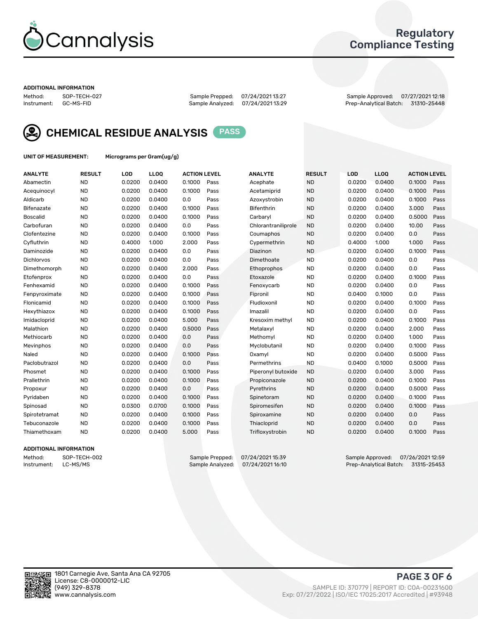

### Regulatory Compliance Testing

#### ADDITIONAL INFORMATION

Method: SOP-TECH-027 Sample Prepped: 07/24/2021 13:27 Sample Approved: 07/27/2021 12:18 Prep-Analytical Batch: 31310-25448



CHEMICAL RESIDUE ANALYSIS PASS

UNIT OF MEASUREMENT: Micrograms per Gram(ug/g)

| <b>ANALYTE</b>  | <b>RESULT</b> | LOD    | LLOQ   | <b>ACTION LEVEL</b> |      | <b>ANALYTE</b>      | <b>RESULT</b> | <b>LOD</b> | <b>LLOQ</b> | <b>ACTION LEVEL</b> |      |
|-----------------|---------------|--------|--------|---------------------|------|---------------------|---------------|------------|-------------|---------------------|------|
| Abamectin       | <b>ND</b>     | 0.0200 | 0.0400 | 0.1000              | Pass | Acephate            | <b>ND</b>     | 0.0200     | 0.0400      | 0.1000              | Pass |
| Acequinocyl     | <b>ND</b>     | 0.0200 | 0.0400 | 0.1000              | Pass | Acetamiprid         | <b>ND</b>     | 0.0200     | 0.0400      | 0.1000              | Pass |
| Aldicarb        | <b>ND</b>     | 0.0200 | 0.0400 | 0.0                 | Pass | Azoxystrobin        | <b>ND</b>     | 0.0200     | 0.0400      | 0.1000              | Pass |
| Bifenazate      | <b>ND</b>     | 0.0200 | 0.0400 | 0.1000              | Pass | Bifenthrin          | <b>ND</b>     | 0.0200     | 0.0400      | 3.000               | Pass |
| <b>Boscalid</b> | <b>ND</b>     | 0.0200 | 0.0400 | 0.1000              | Pass | Carbaryl            | <b>ND</b>     | 0.0200     | 0.0400      | 0.5000              | Pass |
| Carbofuran      | <b>ND</b>     | 0.0200 | 0.0400 | 0.0                 | Pass | Chlorantraniliprole | <b>ND</b>     | 0.0200     | 0.0400      | 10.00               | Pass |
| Clofentezine    | <b>ND</b>     | 0.0200 | 0.0400 | 0.1000              | Pass | Coumaphos           | <b>ND</b>     | 0.0200     | 0.0400      | 0.0                 | Pass |
| Cyfluthrin      | <b>ND</b>     | 0.4000 | 1.000  | 2.000               | Pass | Cypermethrin        | <b>ND</b>     | 0.4000     | 1.000       | 1.000               | Pass |
| Daminozide      | <b>ND</b>     | 0.0200 | 0.0400 | 0.0                 | Pass | Diazinon            | <b>ND</b>     | 0.0200     | 0.0400      | 0.1000              | Pass |
| Dichlorvos      | <b>ND</b>     | 0.0200 | 0.0400 | 0.0                 | Pass | Dimethoate          | <b>ND</b>     | 0.0200     | 0.0400      | 0.0                 | Pass |
| Dimethomorph    | <b>ND</b>     | 0.0200 | 0.0400 | 2.000               | Pass | Ethoprophos         | <b>ND</b>     | 0.0200     | 0.0400      | 0.0                 | Pass |
| Etofenprox      | <b>ND</b>     | 0.0200 | 0.0400 | 0.0                 | Pass | Etoxazole           | <b>ND</b>     | 0.0200     | 0.0400      | 0.1000              | Pass |
| Fenhexamid      | <b>ND</b>     | 0.0200 | 0.0400 | 0.1000              | Pass | Fenoxycarb          | <b>ND</b>     | 0.0200     | 0.0400      | 0.0                 | Pass |
| Fenpyroximate   | <b>ND</b>     | 0.0200 | 0.0400 | 0.1000              | Pass | Fipronil            | <b>ND</b>     | 0.0400     | 0.1000      | 0.0                 | Pass |
| Flonicamid      | <b>ND</b>     | 0.0200 | 0.0400 | 0.1000              | Pass | Fludioxonil         | <b>ND</b>     | 0.0200     | 0.0400      | 0.1000              | Pass |
| Hexythiazox     | <b>ND</b>     | 0.0200 | 0.0400 | 0.1000              | Pass | Imazalil            | <b>ND</b>     | 0.0200     | 0.0400      | 0.0                 | Pass |
| Imidacloprid    | <b>ND</b>     | 0.0200 | 0.0400 | 5.000               | Pass | Kresoxim methyl     | <b>ND</b>     | 0.0200     | 0.0400      | 0.1000              | Pass |
| Malathion       | <b>ND</b>     | 0.0200 | 0.0400 | 0.5000              | Pass | Metalaxyl           | <b>ND</b>     | 0.0200     | 0.0400      | 2.000               | Pass |
| Methiocarb      | <b>ND</b>     | 0.0200 | 0.0400 | 0.0                 | Pass | Methomyl            | <b>ND</b>     | 0.0200     | 0.0400      | 1.000               | Pass |
| Mevinphos       | <b>ND</b>     | 0.0200 | 0.0400 | 0.0                 | Pass | Myclobutanil        | <b>ND</b>     | 0.0200     | 0.0400      | 0.1000              | Pass |
| Naled           | <b>ND</b>     | 0.0200 | 0.0400 | 0.1000              | Pass | Oxamyl              | <b>ND</b>     | 0.0200     | 0.0400      | 0.5000              | Pass |
| Paclobutrazol   | <b>ND</b>     | 0.0200 | 0.0400 | 0.0                 | Pass | Permethrins         | <b>ND</b>     | 0.0400     | 0.1000      | 0.5000              | Pass |
| Phosmet         | <b>ND</b>     | 0.0200 | 0.0400 | 0.1000              | Pass | Piperonyl butoxide  | <b>ND</b>     | 0.0200     | 0.0400      | 3.000               | Pass |
| Prallethrin     | <b>ND</b>     | 0.0200 | 0.0400 | 0.1000              | Pass | Propiconazole       | <b>ND</b>     | 0.0200     | 0.0400      | 0.1000              | Pass |
| Propoxur        | <b>ND</b>     | 0.0200 | 0.0400 | 0.0                 | Pass | Pyrethrins          | <b>ND</b>     | 0.0200     | 0.0400      | 0.5000              | Pass |
| Pyridaben       | <b>ND</b>     | 0.0200 | 0.0400 | 0.1000              | Pass | Spinetoram          | <b>ND</b>     | 0.0200     | 0.0400      | 0.1000              | Pass |
| Spinosad        | <b>ND</b>     | 0.0300 | 0.0700 | 0.1000              | Pass | Spiromesifen        | <b>ND</b>     | 0.0200     | 0.0400      | 0.1000              | Pass |
| Spirotetramat   | <b>ND</b>     | 0.0200 | 0.0400 | 0.1000              | Pass | Spiroxamine         | <b>ND</b>     | 0.0200     | 0.0400      | 0.0                 | Pass |
| Tebuconazole    | <b>ND</b>     | 0.0200 | 0.0400 | 0.1000              | Pass | Thiacloprid         | <b>ND</b>     | 0.0200     | 0.0400      | 0.0                 | Pass |
| Thiamethoxam    | <b>ND</b>     | 0.0200 | 0.0400 | 5.000               | Pass | Trifloxystrobin     | <b>ND</b>     | 0.0200     | 0.0400      | 0.1000              | Pass |

#### ADDITIONAL INFORMATION

Method: SOP-TECH-002 Sample Prepped: 07/24/2021 15:39 Sample Approved: 07/26/2021 12:59<br>Instrument: LC-MS/MS Sample Analyzed: 07/24/2021 16:10 Prep-Analytical Batch: 31315-25453 Prep-Analytical Batch: 31315-25453

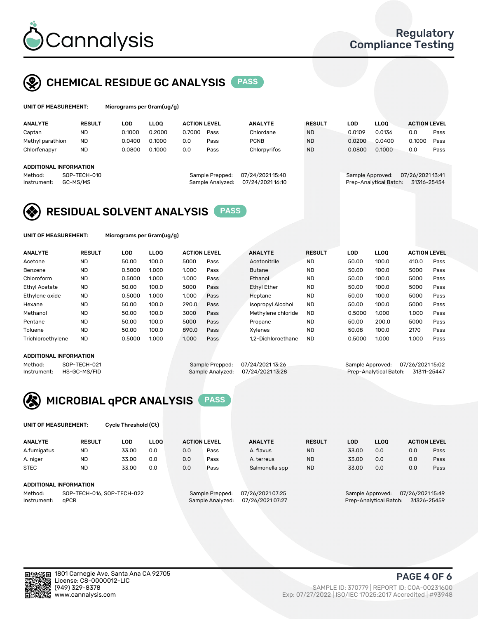

## CHEMICAL RESIDUE GC ANALYSIS PASS

| UNIT OF MEASUREMENT: | <b>Micrograms</b> |
|----------------------|-------------------|
|                      |                   |

s per Gram(ug/g)

| <b>ANALYTE</b>         | <b>RESULT</b>            | LOD    | <b>LLOO</b> | <b>ACTION LEVEL</b> |                                     | <b>ANALYTE</b>                     | <b>RESULT</b> | LOD              | <b>LLOO</b>            | <b>ACTION LEVEL</b>             |      |
|------------------------|--------------------------|--------|-------------|---------------------|-------------------------------------|------------------------------------|---------------|------------------|------------------------|---------------------------------|------|
| Captan                 | <b>ND</b>                | 0.1000 | 0.2000      | 0.7000              | Pass                                | Chlordane                          | <b>ND</b>     | 0.0109           | 0.0136                 | 0.0                             | Pass |
| Methyl parathion       | <b>ND</b>                | 0.0400 | 0.1000      | 0.0                 | Pass                                | <b>PCNB</b>                        | <b>ND</b>     | 0.0200           | 0.0400                 | 0.1000                          | Pass |
| Chlorfenapyr           | ND                       | 0.0800 | 0.1000      | 0.0                 | Pass                                | Chlorpyrifos                       | <b>ND</b>     | 0.0800           | 0.1000                 | 0.0                             | Pass |
|                        |                          |        |             |                     |                                     |                                    |               |                  |                        |                                 |      |
| ADDITIONAL INFORMATION |                          |        |             |                     |                                     |                                    |               |                  |                        |                                 |      |
| Method:<br>Instrument: | SOP-TECH-010<br>GC-MS/MS |        |             |                     | Sample Prepped:<br>Sample Analyzed: | 07/24/202115:40<br>07/24/202116:10 |               | Sample Approved: | Prep-Analytical Batch: | 07/26/2021 13:41<br>31316-25454 |      |

## RESIDUAL SOLVENT ANALYSIS PASS

UNIT OF MEASUREMENT: Micrograms per Gram(ug/g)

| <b>ANALYTE</b>    | <b>RESULT</b> | LOD    | <b>LLOO</b> | <b>ACTION LEVEL</b> |      | <b>ANALYTE</b>           | <b>RESULT</b> | LOD    | <b>LLOO</b> | <b>ACTION LEVEL</b> |      |
|-------------------|---------------|--------|-------------|---------------------|------|--------------------------|---------------|--------|-------------|---------------------|------|
| Acetone           | <b>ND</b>     | 50.00  | 100.0       | 5000                | Pass | Acetonitrile             | <b>ND</b>     | 50.00  | 100.0       | 410.0               | Pass |
| Benzene           | <b>ND</b>     | 0.5000 | 1.000       | 1.000               | Pass | <b>Butane</b>            | <b>ND</b>     | 50.00  | 100.0       | 5000                | Pass |
| Chloroform        | <b>ND</b>     | 0.5000 | 1.000       | 1.000               | Pass | Ethanol                  | <b>ND</b>     | 50.00  | 100.0       | 5000                | Pass |
| Ethyl Acetate     | <b>ND</b>     | 50.00  | 100.0       | 5000                | Pass | <b>Ethyl Ether</b>       | <b>ND</b>     | 50.00  | 100.0       | 5000                | Pass |
| Ethylene oxide    | <b>ND</b>     | 0.5000 | 1.000       | 1.000               | Pass | Heptane                  | <b>ND</b>     | 50.00  | 100.0       | 5000                | Pass |
| Hexane            | <b>ND</b>     | 50.00  | 100.0       | 290.0               | Pass | <b>Isopropyl Alcohol</b> | <b>ND</b>     | 50.00  | 100.0       | 5000                | Pass |
| Methanol          | <b>ND</b>     | 50.00  | 100.0       | 3000                | Pass | Methylene chloride       | <b>ND</b>     | 0.5000 | 1.000       | 1.000               | Pass |
| Pentane           | <b>ND</b>     | 50.00  | 100.0       | 5000                | Pass | Propane                  | <b>ND</b>     | 50.00  | 200.0       | 5000                | Pass |
| Toluene           | <b>ND</b>     | 50.00  | 100.0       | 890.0               | Pass | Xvlenes                  | <b>ND</b>     | 50.08  | 100.0       | 2170                | Pass |
| Trichloroethylene | <b>ND</b>     | 0.5000 | 1.000       | 1.000               | Pass | 1.2-Dichloroethane       | <b>ND</b>     | 0.5000 | 1.000       | 1.000               | Pass |

#### ADDITIONAL INFORMATION

Method: SOP-TECH-021 Sample Prepped: 07/24/2021 13:26 Sample Approved: 07/26/2021 15:02<br>Instrument: HS-GC-MS/FID Sample Analyzed: 07/24/2021 13:28 Prep-Analytical Batch: 31311-25447 Prep-Analytical Batch: 31311-25447



UNIT OF MEASUREMENT: Cycle Threshold (Ct)

| <b>ANALYTE</b>                        | <b>RESULT</b>          | LOD   | <b>LLOO</b> |     | <b>ACTION LEVEL</b> | <b>ANALYTE</b>   | <b>RESULT</b> | LOD   | <b>LLOO</b>      |                  | <b>ACTION LEVEL</b> |
|---------------------------------------|------------------------|-------|-------------|-----|---------------------|------------------|---------------|-------|------------------|------------------|---------------------|
| A.fumigatus                           | <b>ND</b>              | 33.00 | 0.0         | 0.0 | Pass                | A. flavus        | <b>ND</b>     | 33.00 | 0.0              | 0.0              | Pass                |
| A. niger                              | <b>ND</b>              | 33.00 | 0.0         | 0.0 | Pass                | A. terreus       | <b>ND</b>     | 33.00 | 0.0              | 0.0              | Pass                |
| <b>STEC</b>                           | <b>ND</b>              | 33.00 | 0.0         | 0.0 | Pass                | Salmonella spp   | <b>ND</b>     | 33.00 | 0.0              | 0.0              | Pass                |
|                                       | ADDITIONAL INFORMATION |       |             |     |                     |                  |               |       |                  |                  |                     |
| SOP-TECH-016, SOP-TECH-022<br>Method: |                        |       |             |     | Sample Prepped:     | 07/26/2021 07:25 |               |       | Sample Approved: | 07/26/2021 15:49 |                     |

Instrument: qPCR Sample Analyzed: 07/26/2021 07:27 Prep-Analytical Batch: 31326-25459

PAGE 4 OF 6

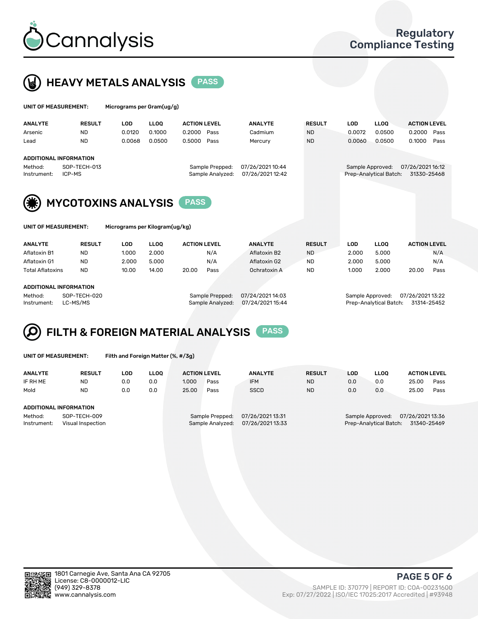



| UNIT OF MEASUREMENT: |                               | Micrograms per Gram(ug/g) |             |                     |                  |                  |               |            |                        |                     |      |  |
|----------------------|-------------------------------|---------------------------|-------------|---------------------|------------------|------------------|---------------|------------|------------------------|---------------------|------|--|
| <b>ANALYTE</b>       | <b>RESULT</b>                 | <b>LOD</b>                | <b>LLOO</b> | <b>ACTION LEVEL</b> |                  | <b>ANALYTE</b>   | <b>RESULT</b> | <b>LOD</b> | <b>LLOO</b>            | <b>ACTION LEVEL</b> |      |  |
| Arsenic              | <b>ND</b>                     | 0.0120                    | 0.1000      | 0.2000              | Pass             | Cadmium          | <b>ND</b>     | 0.0072     | 0.0500                 | 0.2000              | Pass |  |
| Lead                 | <b>ND</b>                     | 0.0068                    | 0.0500      | 0.5000              | Pass             | Mercury          | <b>ND</b>     | 0.0060     | 0.0500                 | 0.1000              | Pass |  |
|                      | <b>ADDITIONAL INFORMATION</b> |                           |             |                     |                  |                  |               |            |                        |                     |      |  |
| Method:              | SOP-TECH-013                  |                           |             |                     | Sample Prepped:  | 07/26/2021 10:44 |               |            | Sample Approved:       | 07/26/202116:12     |      |  |
| Instrument:          | ICP-MS                        |                           |             |                     | Sample Analyzed: | 07/26/202112:42  |               |            | Prep-Analytical Batch: | 31330-25468         |      |  |
| $\sim$               |                               |                           |             |                     |                  |                  |               |            |                        |                     |      |  |



**(F) MYCOTOXINS ANALYSIS** PASS

| UNIT OF MEASUREMENT: |
|----------------------|
|                      |

Micrograms per Kilogram(ug/kg)

| <b>ANALYTE</b>          | <b>RESULT</b> | LOD   | LLOO. | <b>ACTION LEVEL</b> |      | <b>ANALYTE</b> | <b>RESULT</b> | LOD   | <b>LLOO</b> | <b>ACTION LEVEL</b> |      |
|-------------------------|---------------|-------|-------|---------------------|------|----------------|---------------|-------|-------------|---------------------|------|
| Aflatoxin B1            | <b>ND</b>     | 1.000 | 2.000 |                     | N/A  | Aflatoxin B2   | <b>ND</b>     | 2.000 | 5.000       |                     | N/A  |
| Aflatoxin G1            | <b>ND</b>     | 2.000 | 5.000 |                     | N/A  | Aflatoxin G2   | <b>ND</b>     | 2.000 | 5.000       |                     | N/A  |
| <b>Total Aflatoxins</b> | <b>ND</b>     | 10.00 | 14.00 | 20.00               | Pass | Ochratoxin A   | <b>ND</b>     | 1.000 | 2.000       | 20.00               | Pass |
|                         |               |       |       |                     |      |                |               |       |             |                     |      |

#### ADDITIONAL INFORMATION

Method: SOP-TECH-020 Sample Prepped: 07/24/2021 14:03 Sample Approved: 07/26/2021 13:22 Instrument: LC-MS/MS Sample Analyzed: 07/24/2021 15:44 Prep-Analytical Batch: 31314-25452



UNIT OF MEASUREMENT: Filth and Foreign Matter (%, #/3g)

| <b>LLOO</b><br><b>ACTION LEVEL</b>    |
|---------------------------------------|
| 25.00<br>Pass                         |
| 25.00<br>Pass                         |
|                                       |
|                                       |
| 07/26/2021 13:36<br>Sample Approved:  |
| Prep-Analytical Batch:<br>31340-25469 |
| 0.0<br>0.0                            |